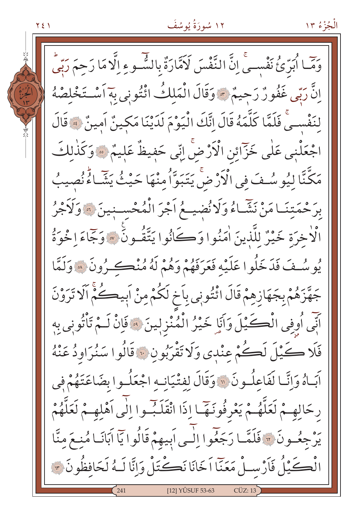۱۲ سُورَةُ يُوسُفَ

وَمَّا اُبَرِّئُ نَفْسِيٍّ إِنَّ النَّفْسَ لَاَمَّارَةٌ بِالشَّـوءِ إِلَّا مَا رَحِمَ رَبِّي انَّ رَبِّي غَفُورٌ رَحِيمٌ \* وَقَالَ الْمَلكُ ائْتُونِي بِهَ اَسْتَخْلِصْهُ لنَفْسِـيٍّ فَلَمَّا كَلَّمَهُ قَالَ إِنَّكَ الْيَوْمَ لَدَيْنَا مَكِينٌ اَمِينٌ ﴾ قَالَ اجْعَلْنِي عَلٰى خَزَّائِن الْأَرْضَ اِنِّي حَفِيظٌ عَلِيمٌ ۞ وَكَذٰلكَ مَكَّنَّا لِيُوسُفَ فِي الْأَرْضَ يَتَبَوَّا مِنْهَا حَيْثُ يَشَّاءُ نُصِيبُ برَحْمَتِنَـامَنْ نَشَّـاءُ وَلَا نُضيــعُ اَجْرَ الْمُحْســنِينَ ۞ وَلَأَجْرُ الْاخِرَةِ خَيْرٌ لِلَّذِينَ اٰمَنُوا وَكَانُوا يَتَّقُـونَ ۞ وَجَاءَ!خُوَةُ يُوسُفَ فَدَخَلُوا عَلَيْهِ فَعَرَفَهُمْ وَهُمْ لَهُ مُنْڪِرُونَ ۞ وَلَمَّا جَهَّزَهُمْ بِجَهَازِهِمْ قَالَ ائْتُونِي بِأَخِ لَكُمْ مِنْ أَبِيكُمْ أَلَا تَرَوْنَ أَنِّي أُوفِي الْكَـكِّيْلَ وَآَيَا خَيْرُ الْمُنْزِلِينَ ۞ فَإِنْ لَـمْ تَأْتُونِي بِهِ فَلَا ڪَيْلَ لَڪُمْ عِنْدِي وَلَا تَقْرَبُونِ ۞ قَالُوا سَنُرَاوِدُ عَنْهُ آبَاهُ وَإِنَّـا لَفَاعِلُـونَ ۞ وَقَالَ لِفِتْيَانِـهِ اجْعَلُـوا بِضَاعَتَهُمْ فِي رِحَالِهِـمْ لَعَلَّهُـمْ يَعْرِفُونَـهَّـا إِذَا انْقَلَـبُـوا إِلَى اَهْلِهِـمْ لَعَلَّهُمْ يَرْجِعُـونَ ۞ فَلَمَّـا رَجَعُوا إِلَـى اَبِيهِمْ قَالُوا يَاۤ اَبَانَـا مُنِـعَ مِنَّا الْكَيْلُ فَأَرْسِـلْ مَعَنّا اَخَانَا نَكْتَلْ وَإِنَّا لَـهُ لَحَافِظُونَ ٣ [12] YÛSUF 53-63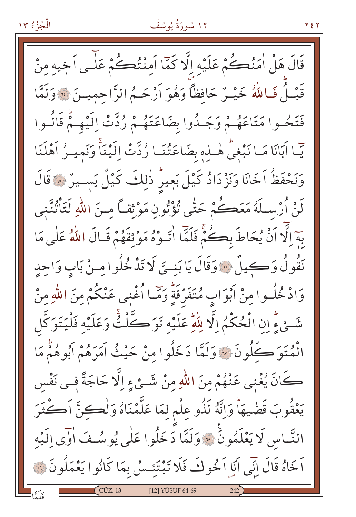### ۱۲ سُورَةُ يُوسُفَ

**YEY** 

قَالَ هَلْ اٰمَنُڪُمْ عَلَيْهِ إِلَّا كَمَّا اَمِنْتُڪُمْ عَلَى اَخِيهِ مِنْ قَبْلُ فَاللَّهُ خَيْـرٌ حَافظاً وَهُوَ اَرْحَـمُ الرَّاحِمِيـنَ ﴾ وَلَمَّا فَتَحُـوا مَتَاعَهُـمْ وَجَـدُوا بِضَاعَتَهُـمْ رُدَّتْ اِلَيْهِـمْ قَالُـوا يِّما آبَانَا مَـا نَبْغِيُّ هٰـذِهِ بِضَاعَتُنَـا رُدَّتْ إِلَيْنَاً وَنَمِيـرُ آهْلَنَا وَنَحْفَظُ اَخَانَا وَنَزْدَادُ كَيْلَ بَعِيرُ ذٰلِكَ كَيْلٌ يَسِيرُ ۞ قَالَ لَنْ أُرْسِـلَهُ مَعَڪُمْ حَتّٰى تُؤْتُونِ مَوْثقـاً مـنَ اللهِ لَتَأْتُنُّنِي بِهَ الَّا أَنْ يُحَاطَ بِكُنَّ فَلَمَّا أَتَـوْهُ مَوْ ثِقَهُمْ قَـالَ اللَّهُ عَلَى مَا نَقُولُ وَكِيلٌ ﴾ وَقَالَ يَا بَنِيَّ لَا تَدْخُلُوا مِنْ بَابٍ وَاحِدٍ وَادْ خُلُّـوا مِنْ أَبْوَابٍ مُتَفَرِّقَةٍ وَمَّـا أُغْنِي عَنْكُمْ مِنَ اللّٰهِ مِنْ شَّيْءٍ إِنِ الْحُكْمُ إِلَّا لِلْهِ عَلَيْهِ تَوَكَّلْتُ وَعَلَيْهِ فَلْيَتَوَكَّل الْمُتَوَكَّلُونَ ۞ وَلَمَّا دَخَلُوا مِنْ حَيْثُ آمَرَهُمْ أَبُوهُمْ مَا كَانَ يُغْنِي عَنْهُمْ مِنَ اللَّهِ مِنْ شَـِّيْءِ اِلَّا حَاجَةً فـي نَفْس يَعْقُوبَ قَضْيهَاً وَإِنَّهُ لَذُو عِلْمٍ لِمَا عَلَّمْنَاهُ وَلْكِنَّ آكْثَرَ النَّبَاسِ لَا يَعْلَمُونَ ۚ ﴾ وَلَمَّا دَخَلُوا عَلَى يُو سُفَ اوْيِ الَيْه اَخَاهُ قَالَ إِنِّي آَيَا اَ خُولَكَ فَلَا تَبْتَئِسْ بِمَا كَانُوا يَعْمَلُونَ ۞ [12] YÛSUF 64-69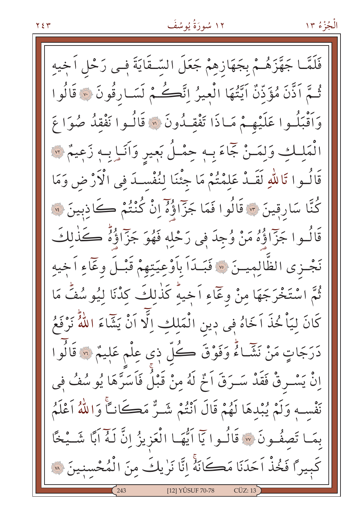فَلَمَّــا جَهَّزَهُــمْ بِجَهَازِهِمْ جَعَلَ السَّـقَايَةَ فِــى رَحْلٍ اَخِيهِ ثُمَّ اَذَّنَ مُؤَذِّنٌ اَيَّتُهَا الْعِيرُ اِنَّكُمْ لَسَارِقُونَ ۞ قَالُوا وَاَقْبَلُـوا عَلَيْهِـمْ مَـاذَا تَفْقِـدُونَ ۞ قَالُـوا نَفْقِدُ صُوَا عَ الْمَلِكِ وَلِمَـنْ جَمَاءَ بِـهِ حِمْـلُ بَعِيرِ وَآنَـا بِـهِ زَعِيمٌ ۞ قَالُــوا تَاللّٰهِ لَقَــدْ عَلِمْتُمْ مَا جِئْنَا لِنُفْســدَ فِي الْأَرْضِ وَمَا كُنَّا سَارِقِينَ ۞ قَالُوا فَمَا جَزَّاؤُهُ إِنْ كُنْتُمْ كَاذِبِينَ ۞ قَالُــوا جَزّٓاؤُهُ مَنْ وُجِدَ فِي رَحْلِهِ فَهُوَ جَزّٓاؤُهُ صَحَذْلِكَ نَجْـزى الظّالِمِيـنَ ۞ فَبَـدَاً بِاَوْعِيَتِهِمْ قَبْـلَ وعَاءِ اَخِيه ثُمَّ اسْتَخْرَجَهَا مِنْ وعَمَاءِ اَخِيهِ كَذٰلِكَ كِدْنَا لِيُوسُفُ مَا كَانَ لِيَاْ خُذَ اَخَاهُ فِي دِينِ الْمَلِكِ اِلَّا اَنْ يَشَاءَ اللَّهُ نَرْفَعُ دَرَجَاتٍ مَنْ نَشَّـاءٌ وَفَوْقَ كُلّ ذِى عِلْم عَلِيمٌ ۞ قَالُوا إِنْ يَسْمِرْقْ فَقَدْ سَــرَقَ اَخْمَ لَهُ مِنْ قَبْلُ فَاسَرَّهَا يُوسُفُ في نَفْسِهِ وَلَمْ يُبْدِهَا لَهُمْ قَالَ أَنْتُمْ شَـرٌّ مَكَانـَا وَاللَّهُ أَعْلَمُ بِمَـا تَصفُـونَ ۞ قَالُـوا يَاۤ اَيُّهَـا الْعَزِيزُ إِنَّ لَـهُ اَبًا شَــيْخًا كَبِيرًا فَخُذْ اَحَدَنَا مَكَانَهُ إِنَّا نَرٰيكَ مِنَ الْمُحْسِنِينَ ۞ [12] YÛSUF 70-78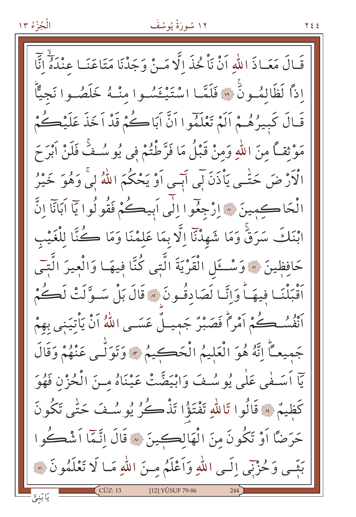الْجُزْءُ ١٣

قَـالَ مَعَـاذَ اللَّهِ أَنْ نَاْ خُذَ الَّا مَـنْ وَجَدْنَا مَتَاعَنَـا عِنْدَهُ أَنَّا اذاً لَظَالِمُونَ \* وَلَلَّمَا اسْتَيْخَسُوا مِنْـهُ خَلَصُـوا نَجِيًّا قَبَالَ كَبِيرُهُـمْ أَلَمْ تَعْلَمُوا أَنَّ أَبَاكُمْ قَدْ أَخَذَ عَلَيْكُمْ مَوْثِقاً مِنَ اللَّهِ وَمِنْ قَبْلُ مَا فَرَّطْتُمْ فِي يُوسُـفَّ فَلَنْ ابْرَحَ الْأَرْضَ حَتّٰـى يَاْذَنَ لَبِي أَبِّـى أَوْ يَحْكُمَ اللّٰهُ لِيَّ وَهُوَ خَيْرُ الْحَاكِمِينَ \* إِرْجِعُوا إِلَى اَبِيكُمْ فَقُولُوا يَا اَبَانَا إِنَّ ابْنَكَ سَرَقٌ وَمَا شَهِدْنَآ إِلَّا بِمَا عَلَمْنَا وَمَا كُنَّا لِلْغَيْبِ حَافِظِينَ ۞ وَسْـــــَل الْقَرْيَةَ الَّتِي كُنَّا فيهَــا وَالْعيرَ الَّتــَى أَقْبَلْنَـا فِيهَـاً وَإِنَّـا لَصَادِقُـونَ \* قَالَ بَلْ سَـوَّلَتْ لَكُمْ َ ۚ ۚ ٱلنُّسُــكُمْ اَمْراً فَصَبْرٌ جَمِيـلٌ عَسَـى اللَّهُ اَنْ يَأْتِيَنِي بِهِمْ جَمِيعـَاً إِنَّهُ هُوَ الْعَلِيمُ الْحَكِيمُ \* وَتَوَلَّـى عَنْهُمْ وَقَالَ يّاً أَسَـفْي عَلٰى يُوسُـفَ وَابْيَضَّتْ عَيْنَاهُ مـنَ الْحُزْنِ فَهُوَ كَظِيمٌ » قَالُوا تَاللَّهِ تَفْتَؤُا تَذْكُرُ يُوسُفَ حَتَّى تَكُونَ حَرَضًا أَوْ تَكُونَ مِنَ الْهَالِكِينَ ۞ قَالَ إِنَّمَّا أَشْكُوا بَثِّبِي وَحُزْنِي إِلَـي اللهِ وَأَعْلَمُ مِنَ اللهِ مَـا لَا تَعْلَمُونَ ۞ [12] YÛSUF 79-86

7 E E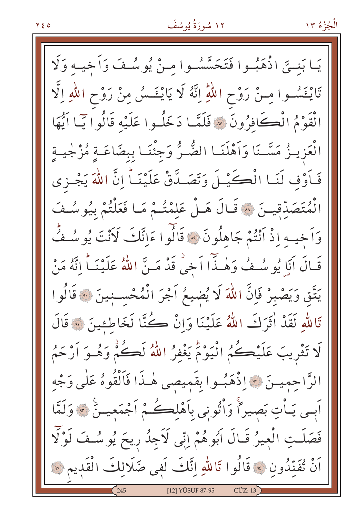بَنِيَّ اذْهَبُـوا فَتَحَسَّسُـوا مـنْ يُوسُـفَ وَأَخِيـه وَلَا یَـا تَايْخَسُوا مِنْ رَوْحِ اللّٰهِ إِنَّهُ لَا يَايْخَسُ مِنْ رَوْحِ اللّٰهِ إِلَّا الْقَوْمُ الْكَافِرُونَ ۞ فَلَمَّـا دَخَلُـوا عَلَيْه قَالُوا يَـا أَيُّهَا الْعَزِيـزُ مَسَّـنَا وَاَهْلَنَـا الضُّـرُّ وَجِئْنَـا بِبِضَاعَـةٍ مُزْجِيــةٍ فَأَوْفٍ لَنَـا الْكَيْـلَ وَتَصَـدَّقْ عَلَيْنَـاً إِنَّ اللَّهَ يَجْـزِي الْمُتَصَدِّقِينَ ۞ قَـالَ هَـلْ عَلَمْتُـمْ مَـا فَعَلْتُمْ بِيُوسُـفَ وَاَخِيهِ إِذْ أَنْتُمْ جَاهِلُونَ ۞ قَالُوا ءَانَّكَ لَأَنْتَ يُو سُفٍّ قَالَ أَنَا يُوسُفُ وَهٰـذّاً أَخِي قَدْ مَـنَّ اللّهُ عَلَيْنَـاً انَّهُ مَنْ يَتَّقِ وَيَصْبِرْ فَإِنَّ اللَّهَ لَا يُضيعُ آجْرَ الْمُحْسـنِينَ ۞ قَالُوا تَاللَّهِ لَقَدْ أَتَرَكَ اللَّهُ عَلَيْنَا وَإِنْ كُنَّا لَخَاطِئِينَ ۞ قَالَ لَا تَثْرِيبَ عَلَيْڪُمُ الْيَوْمَ يَغْفِرُ اللَّهُ لَڪُمْ وَهُـوَ أَرْحَمُ الرَّاحِمِيسَ \* اِذْهَبُوا بِقَمِيصِي هٰذَا فَاَلْقُوهُ عَلَى وَجْه اَٻِي يَـاْتِ بَصِيراً وَاْتُونِي بِاَهْلِڪُمْ اَجْمَعِيــنَٰ ﴾ وَلَمَّا فَصَلَتِ الْعِيرُ قَـالَ اَبُوهُمْ اِنِّي لَاَجِدُ رِيحَ يُوسُـفَ لَوْلَا أَنْ تُفَنِّدُونَ ﴾ قَالُوا تَاللّٰهِ إِنَّكَ لَفِي ضَلَالِكَ الْقَدِيمِ ﴾ [12] YÛSUF 87-95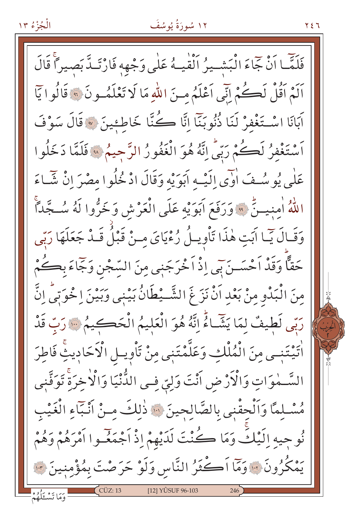### ۱۲ سُورَةُ يُوسُفَ

۲٤٦

فَلَمَّا اَنْ جَمَاءَ الْبَشْـيرُ الْقْيـهُ عَلٰى وَجْهِهٖ فَارْتَـدَّ بَصِيراً قَالَ أَلَمْ أَقُلْ لَكُمْ إِنِّي أَعْلَمُ مِنَ اللَّهِ مَا لَا تَعْلَمُونَ ۞ قَالُوا يَأْ آبَانَا اسْتَغْفِرْ لَنَا ذُنُوبَنَّا إِنَّا كُنَّا خَاطِئِينَ ۞ قَالَ سَوْفَ اَسْتَغْفِرُ لَكُمْ رَبِّي اِنَّهُ هُوَ الْغَفُورُ الرَّجِيمُ ۞ فَلَمَّا دَخَلُوا عَلٰی یُوسُفَ اٰوَی اِلَیْـهِ اَبَوَیْهِ وَقَالَ اذْ خُلُوا مصْرَ اِنْ شَّـاءَ اللَّهُ امِنيتُنَّ ۞ وَرَفَعَ آبَوَيْهِ عَلَى الْعَرْشِ وَخَرُّوا لَهُ سُجَّداً وَقَالَ يَبَا اَبَتِ هٰذَا تَأْوِيلُ رُءْيَايَ مِنْ قَبْلُ قَـٰذُ جَعَلَهَا رَبِّي حَقًّا وَقَدْ اَحْسَــنَ بِي إِذْ اَخْرَجَنِي مِنَ السِّجْنِ وَجَّاءَ بِكُمْ مِنَ الْبَدْوِ مِنْ بَعْدِ اَنْ نَزَ غَ الشَّـيْطَانُ بَيْنِي وَبَيْنَ اِ خُوَتِي اِنَّ رَبِّي لَطِيفٌ لِمَا يَشَّاءُ إِنَّهُ هُوَ الْعَلِيمُ الْخَصِّكِيمُ ﴾ رَبِّ قَدْ اْتَيْتَنِـي مِنَ الْمُلْكِ وَعَلَّمْتَنِي مِنْ تَاْوِيـلِ الْأَحَادِيثِ فَاطِرَ السَّـمٰوَاتِ وَالْأَرْضِ أَنْتَ وَلِيِّ فِـى الدُّنْيَا وَالْأَخِرَةِ تَوَفَّنِى مُسْلِمًا وَاَلْحِقْنِي بِالصَّالِحِينَ ۞ ذٰلِكَ مِنْ اَنْبَاءِ الْغَيْبِ نُوحِيهِ اِلَيْكَ وَمَا كُنْتَ لَدَيْهِمْ إِذْ أَجْمَعْـوا أَمْرَهُمْ وَهُمْ يَمْكُرُونَ سَوَمَا اَكْثَرُ النَّاسِ وَلَوْ حَرَصْتَ بِمُؤْمِنِينَ سَ وَمَا تَسْكَلُهُمْ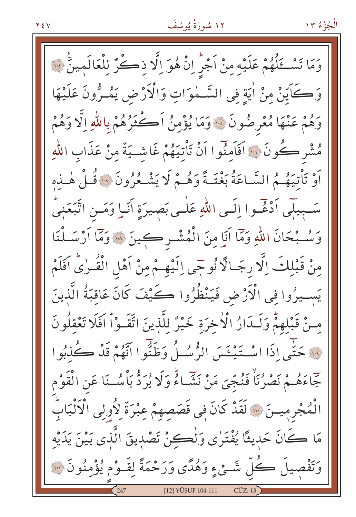وَمَا تَسْخَلُهُمْ عَلَيْهِ مِنْ اَجْرِ إِنْ هُوَ اِلَّا ذِكْرٌ لِلْعَالَمِينَ لِنَّا وَكَاَيِّنْ مِنْ اٰيَةٍ فِي السَّـٰمٰوَاتِ وَالْأَرْضِ يَمُــرُّونَ عَلَيْهَا وَهُمْ عَنْهَا مُعْرِضُونَ ۞ وَمَا يُؤْمِنُ اَكْثَرُهُمْ بِاللَّهِ اِلَّا وَهُمْ مُشْرِ كُونَ ۞ افَاَمنُوا اَنْ تَأْتِيَهُمْ غَاشِيَةٌ مِنْ عَذَابِ اللّٰهِ أَوْ تَأْتِيَهُمُ السَّاعَةُ بَغْتَـةً وَهُـمْ لَا يَشْـعُرُونَ \* قُـلْ هٰـذِهِ سَّـبِيلِّي اَدْغَـوا اِلَـي اللهِ عَلٰـي بَصِيرَةِ اَنَـا وَمَـنِ اتَّبَعَنِيَّ وَسُّـبْحَانَ اللَّهِ وَمَمَّا أَنَا مِنَ الْمُشْـرِكِينَ ۞ وَمَّا أَرْسَـلْنَا مِنْ قَبْلِكَ اِلَّا رِجَـالًا نُوجِّي اِلَيْهِـمْ مِنْ اَهْلِ الْقُـرٰىُّ اَفَلَمْ يَسِـيرُوا فِي الْأَرْضِ فَيَنْظُرُوا كَيْفَ كَانَ عَاقبَةُ الَّذِينَ مِنْ قَبْلِهِمْ وَلَـدَارُ الْأَخِرَةِ خَيْرٌ لِلَّذِينَ اتَّقَـوْاً اَفَلَا تَعْقِلُونَ فَ حَتَّبِي إِذَا اسْتَنْبِئَسَ الرُّسُلُ وَظَنُّوا أَنَّهُمْ قَدْ كُذْبُوا جَّاءَهُــمْ نَصْرُنَاْ فَنُجِّيَ مَنْ نَشَّــاءٌ وَلَا يُرَدُّ بَأْسُــنَا عَنِ الْقَوْمِ الْمُجْرِمِيسَ ۚ ۞ لَقَدْ كَانَ فِي قَصَصِهِمْ عِبْرَةٌ لِأُولِي الْأَلْبَابُ مَا كَانَ حَدِيثًا يُفْتَرٰى وَلْكِنْ تَصْدِيقَ الَّذى بَيْنَ يَدَيْهِ وَتَفْصِيلَ كُلِّ شَئْءٍ وَهُدًى وَرَحْمَةً لِقَـوْمٍ يُؤْمِنُونَ ۞ [12] YÛSUF 104-111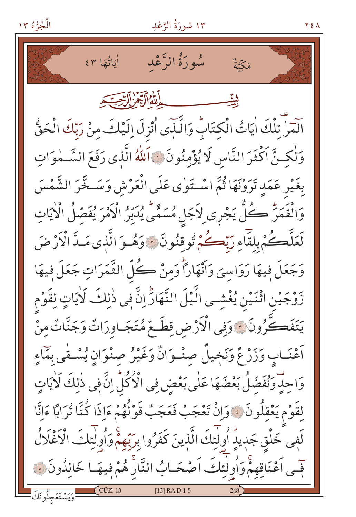الْجُزْءُ ١٣

١٣ سُورَةُ الرَّعْدِ

سُورَةُ الرَّعْد أَيَاتُهَا ٤٣ مَكَّةٌ أَلِلْهُ أَأَبَّهُمْ أَلْرَجَبَ آيَهِ ۗ تَلْكَ اٰيَاتُ الْكِتَابُ وَالَّذِى أُنْزِلَ اِلَيْكَ مِنْ رَبِّكَ الْحَقُّ وَلْكِنَّ اَكْثَرَ النَّاسِ لَا يُؤْمِنُونَ ﴾ اَللّٰهُ الَّذِي رَفَعَ السَّـٰمٰوَاتِ بِغَيْرِ عَمَدٍ تَرَوْنَهَا ثُمَّ اسْتَوٰى عَلَى الْعَرْشِ وَسَـخَّرَ الشَّمْسَ وَالْقَمَرُّ كُلُّ يَجْرِى لِأَجَلٍ مُسَمًّى يُدَبِّرُ الْأَمْرَ يُفَصِّلُ الْأَيَاتِ لَعَلَّكُمْ بِلَقَّاءِ رَبَّكُمْ تُوقِنُونَ وَهُو َالَّذِي مَـدَّ الْأَرْضَ وَجَعَلَ فِيهَا رَوَاسِيَ وَأَنْهَاراً وَمِنْ كُلِّ الثَّمَرَاتِ جَعَلَ فِيهَا زَوْجَيْنِ اثْنَيْنِ يُغْشِي الَّيْلَ النَّهَارِّ اِنَّ فِي ذٰلِكَ لَأْيَاتٍ لِقَوْمِ يَتَفَكَّرُونَ \* وَفِي الْأَرْضِ قِطَعٌ مُتَجَـاوِرَاتٌ وَجَنَّاتٌ مِنْ أَعْنَـابٍ وَزَرْعٌ وَنَجْيلٌ صِنْـوَانٌ وَغَيْرُ صِنْوَانِ يُسْـفَى بِمَاءِ وَاحِدٌ وَنُفَضِّلُ بَعْضَهَا عَلَى بَعْضٍ فِي الْأَكُلِّ إِنَّ فِي ذٰلِكَ لَأَيَاتٍ لِقَوْمِ يَعْقِلُونَ ﴾ وَإِنْ تَعْجَبْ فَعَجَبٌ قَوْلُهُمْ ءَاِذَا كُنَّا تُرَابًا ءَانَّا لَفِي خَلْقِ جَدِيدٍ أُولِّئِكَ الَّذِينَ كَفَرُوا بِرَبِّهِمْ وَأُولِّئِكَ الْأَغْلَالُ فِّمِي اَعْنَاقِهِمْ وَأُولٰئِكَ اَصْحَـابُ النَّارِ هُمْ فِيهَـا خَالِدُونَ ۞ [13] RA'D 1-5

Y E A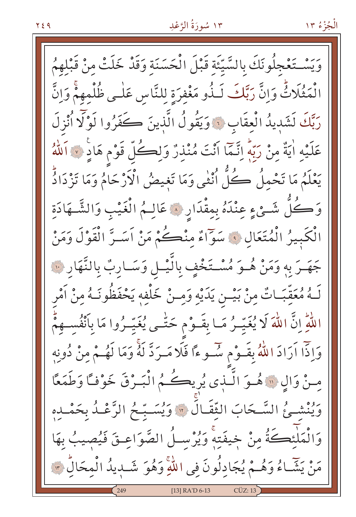وَيَسْتَغْجِلُونَكَ بِالسَّيِّئَةِ قَبْلَ الْحَسَنَةِ وَقَدْ خَلَتْ مِنْ قَبْلِهِمُ انْمَثُلَاثٌ وَإِنَّ رَبَّكَ لَـذُو مَغْفِرَةِ لِلنَّاسِ عَلٰـى ظُلْمِهِمْ وَإِنَّ رَبَّكَ لَشَدِيدُ الْعِقَابِ ۞ وَيَقُولُ الَّذِينَ كَفَرُوا لَوْلَّا أُنْزِلَ عَلَيْهِ اٰيَةٌ مِنْ رَبِّهِ اِنَّمَّا أَنْتَ مُنْذِرٌ وَلِكُلِّ قَوْمٍ هَادٍ لَا اللَّهُ يَعْلَمُ مَا تَحْملُ كُلُّ اُنْثٰى وَمَا تَغيضُ الْأَرْحَامُ وَمَا تَزْدَادُّ وَكُلُّ شَئْءٍ عِنْدَهُ بِمِقْدَارِ ۞ عَالِـمُ الْغَيْبِ وَالشَّـهَادَةِ الْكَبِيرُ الْمُتَعَالِ ﴾ سَوَّاءٌ منْكُمْ مَنْ اَسَـرَّ الْقَوْلَ وَمَنْ جَهَـرَ به وَمَنْ هُـوَ مُسْـتَخْفٍ بِالَّيْـلِ وَسَـارِبٌ بِالنَّهَارِ ۞ لَـهُ مُعَقِّبَـاتٌ مِنْ بَيْــن يَدَيْهِ وَمِــنْ خَلْفِهِ يَحْفَظُونَــهُ مِنْ اَمْر اللَّهِ إِنَّ اللَّهَ لَا يُغَيِّـرُ مَـا بِقَـوْم حَتَّــى يُغَيِّـرُوا مَا بِأَنْفُسِــهِمُّ وَإِذَّا آرَادَ اللَّهُ بِقَـوْمٍ سَّـوءًا فَلَا مَـرَدَّ لَهُ وَمَا لَهُـمْ مِنْ دُونِه مِنْ وَالِ ۞ هُمُوَ الَّـٰذِي يُرِيكُـهُمُ الْبَـٰرْقَ خَوْفـًا وَطَمَعًا ويُنْشَـئُ السَّـحَابَ الثَّقَـالَ ۞ وَيُسَـبِّـحُ الرَّعْـدُ بِحَمْـدِهِ وَالْمَلْئِكَةُ مِنْ خِيفَتِهْ وَيُرْسِلُ الصَّوَاعِـقَ فَيُصِيبُ بِهَا مَنْ يَشَّاءُ وَهُــمْ يُجَادِلُونَ فِي اللَّهِ وَهُوَ شَــٰبِيدُ الْمِحَالِّ ۞ [13] RA'D 6-13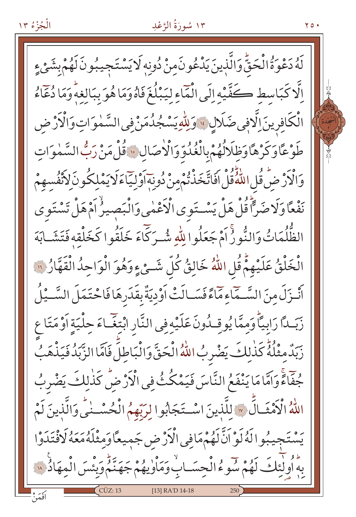#### ١٣ سُورَةُ الرَّعْدِ

70.

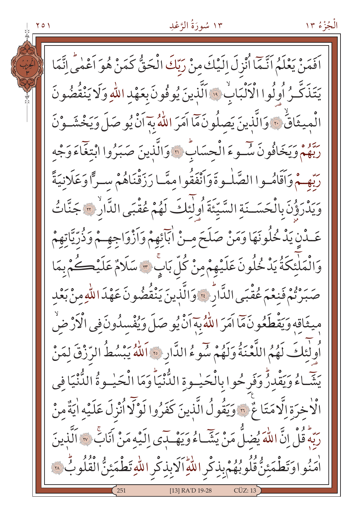### ۱۳ سُورَةُ الرَّعْدِ

الْجُزْءُ ١٣

اَفَمَنْ يَعْلَمُ اَنَّمَا اُنْزِلَ إِلَيْكَ مِنْ رَبِّكَ الْحَقُّ كَمَنْ هُوَ اَعْمٰى إِنَّمَا يَتَذَكَّرُ أُولُوا الْأَلْبَابُ \* اَلَّذِينَ يُوفُونَ بِعَهْدِ اللّهِ وَلَا يَنْقُضُونَ الْمِيثَاقُ ٣٠ وَالَّذِينَ يَصِلُونَ مَّا اَمَرَ اللَّهُ بِهَ اَنْ يُوصَلَ وَيَخْشَـوْنَ رِّهُمْ وَيَخَافُونَ سُوءَ الْحِسَابُ ۞ وَالَّذِينَ صَبَرُوا ابْتِغَاءَ وَجْه رَبُّهِـمْ وَأَقَامُـوا الصَّلْـوةَ وَأَنْفَقُوا ممَّـا رَزَقْنَاهُمْ سـرًّا وَعَلَانِيَةً وَيَدْرَؤُنَ بِالْحَسَــنَةِ السَّيِّئَةَ أُولِّئِكَ لَهُمْ عُقْبَى الدَّارِ ۞ جَنَّاتُ عَـدْنِ يَدْخُلُونَهَا وَمَنْ صَلَحَ مِـنْ ابَآئِهِمْ وَاَزْوَاجِهِـمْ وَذُرِّيَّاتِهِمْ وَالْمَلْئِكَةُ يَدْخُلُونَ عَلَيْهِمْ مِنْ كُلّ بَابٍ ۚ سَلَامٌ عَلَيْكُمْ بِمَا صَبَرْتُمْ فَنِعْمَ عُقْبَى الدَّارُ \* وَالَّذِينَ يَنْقُضُونَ عَهْدَ اللّٰهِ مِنْ بَعْدِ مِيثَاقِهِ وَيَقْطَعُونَ مَمَّا آَمَرَ اللَّهُ بِهَ أَنْ يُوصَلَ وَيُفْسِدُونَ في الْأَرْضَٰ أُولٰئِكَ لَهُمُ اللَّعْنَةُ وَلَهُمْ سُوءُ الدَّارِ ۞ اَللّهُ يَبْسُطُ الرِّزْقَ لِمَنْ يَشَّاءُ وَيَقْدِرُّ وَفَرِحُوا بِالْحَيْسِةِ الدُّنْيَاً وَمَا الْحَيْسِوةُ الدُّنْيَا فِي الْاخِرَةِ إِلَّا مَتَاعٌ \* وَيَقُولُ الَّذِينَ كَفَرُوا لَوْلَا أُنْزِلَ عَلَيْهِ اٰيَةٌ مِنْ رَبّهُ قُلْ إِنَّ اللّهَ يُضِلُّ مَنْ يَشَـاءُ وَيَهْـدَى إِلَيْهِ مَنْ أَنَابٌ « اَلَّذِينَ أَمَنُواوَتَطْمَئِنُّ قُلُوبُهُمْ بِذِكْرِ اللّهِ اَلَابِذِكْرِ اللّهِ تَطْمَئِنُّ الْقُلُوبُّ ۞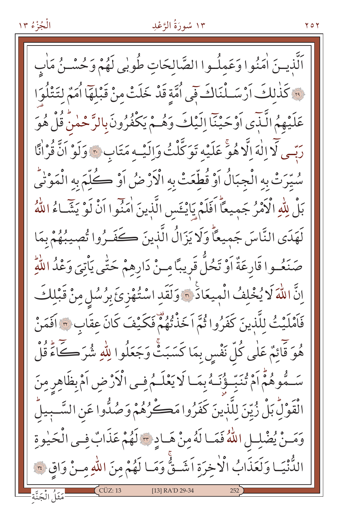### ۱۳ سُورَةُ الرَّعْدِ

اَلَّذيهِ; اٰمَنُوا وَعَملُـوا الصَّالِحَاتِ طُوبٰى لَهُمْ وَحُسْـنُ مَاٰبِ فِينَ كَذَٰلِكَ أَرْسَـلْنَاكَ فَيِي اُمَّةٍ قَدْ خَلَتْ مِنْ قَبْلُهَا أُمَمٌ لِتَتْلُوَا عَلَيْهِمُ الَّذِّي أَوْحَيْنَا إِلَيْكَ وَهُمْ يَكْفُرُونَ بِالرَّحْمٰنُ قُلْ هُوَ رَبِّسِ لَّا اللَّهَ الَّا هُوَ عَلَيْهِ تَوَكَّلْتُ وَإِلَيْـهِ مَتَابٍ \* وَلَوْ اَنَّ قُرْانًا سُيّرَتْ بِهِ الْجِبَالُ اَوْ قُطِّعَتْ بِهِ الْأَرْضُ اَوْ كُلِّمَ بِهِ الْمَوْنَى بَلْ لِلّهِ الْأَمْرُ جَمِيعًا اَفَلَمْ يَايْخَسِ الَّذِينَ اٰمَنُوا اَنْ لَوْ يَشَّاءُ اللّهُ لَهَدَى النَّاسَ جَمِيعًا وَلَا يَزَالُ الَّذِينَ كَفَـرُوا تُصِيبُهُمْ بِمَا صَنَعُـوا قَارِعَةٌ أَوْ تَحُلُّ قَرِيبًا مِـنْ دَارِهِمْ حَتَّى يَأْتِيَ وَعْدُ اللَّهِ اِنَّ اللَّهَ لَا يُخْلِفُ الْمِيعَادَ ۞ وَلَقَدِ اسْتُهْزِئَ بِرُسُلٍ مِنْ قَبْلِكَ فَأَمْلَيْتُ لِلَّذِينَ كَفَرُوا ثُمَّ اَخَذْتُهُمْ فَكَيْفَ كَانَ عِقَابٍ ٣ افَمَنْ هُوَ قَائِمٌ عَلٰى كُلّ نَفْسٍ بِمَا كَسَبَتْ وَجَعَلُوا لِلّٰهِ شُرَكَـكَاءَ قُلْ سَـٰمُّوهُمُّ أَمْ تُنَبِّئُونَـٰهُ بِمَـا لَا يَعْلَـٰمُ فِـى الْأَرْضِ أَمْ بِظَاهِرِ مِنَ الْقَوْلِّ بَلْ زُيِّنَ لِلَّذِينَ كَفَرُوا مَكْرُهُمْ وَصُدُّوا عَنِ السَّـبِيلُ وَمَـنْ يُضْلِـلِ اللَّهُ فَمَـا لَهُ مِنْ هَـادِ ٣ لَهُمْ عَذَابٌ فِـى الْحَيْوِةِ الدُّنْيَـا وَلَعَذَابُ الْأَخِرَةِ اَشَـقٌّ وَمَـا لَهُمْ مِنَ اللّهِ مِـنْ وَاقِ ٢٠ [13] RA'D 29-34 نَثَلُ الْجَنَّة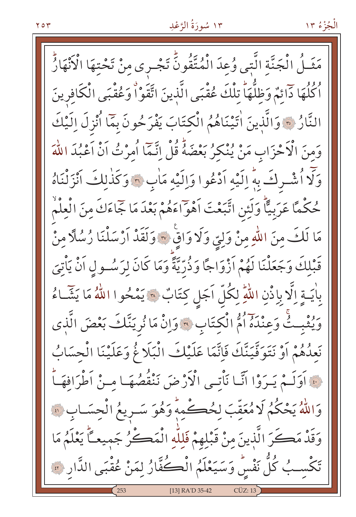### ١٣ سُورَةُ الرَّعْدِ

مَثَــلُ الْجَنَّة الَّتى وُعِدَ الْمُتَّقُونَّ تَجْـرى مِنْ تَحْتِهَا الْأَنْهَارُّ أَكُلُهَا دَائِمٌ وَظِلُّهَا تِلْكَ عُقْبَى الَّذِينَ اتَّقَوْاْ وَعُقْبَى الْكَافِرِينَ النَّارُ ٣ وَالَّذِينَ اٰتِيْنَاهُمُ الْكِتَابَ يَفْرَحُونَ بِمَّا أُنْزِلَ اِلَيْكَ وَمِنَ الْأَحْزَابِ مَنْ يُنْكِرُ بَعْضَهُ قُلْ اِنَّمَّا أُمِرْتُ اَنْ اَعْبُدَ اللَّهَ وَلَا أُشْرِكَ بِهِ إِلَيْهِ أَدْعُوا وَإِلَيْهِ مَأْبِ \* وَكَذٰلِكَ أَنْزَلْنَاهُ حُكْمًا عَرَبِيًّا وَلَئِنِ اتَّبَعْتَ اَهْوَاءَهُمْ بَعْدَ مَا جَماءَكَ منَ الْعِلْمْ مَا لَكَ مِنَ اللَّهِ مِنْ وَلِيِّ وَلَا وَاقٍ ۞ وَلَقَدْ أَرْسَلْنَا رُسُلًّا مِنْ قَبْلِكَ وَجَعَلْنَا لَهُمْ اَزْوَاجًا وَذُرِّيَّةً وَمَا كَانَ لِرَسُـولِ اَنْ يَأْتِيَ بِأَيَــةٍ اِلَّا بِاِذْنِ اللَّهِ لِكُلِّ اَجَلٍ كِتَابٌ ۞ يَمْحُوا اللَّهُ مَا يَشَّـاءُ وَيُثْبِتُْ وَعِنْدَهُ أُمُّ الْكِتَابِ ٣ وَإِنْ مَا نُرِيَنَّكَ بَعْضَ الَّذِي نَعِدُهُمْ أَوْ نَتَوَفَّيَنَّكَ فَإِنَّمَا عَلَيْكَ الْبَلَا غُ وَعَلَيْنَا الْحِسَابُ نَّ أَوَلَــمْ يَـرَوْا أَنَّـا نَأْتـى الْأَرْضَ نَنْقُصُهَـا مِـنْ أَطْرَافِهَــأُ وَاللَّهُ يَحْكُمُ لَا مُعَقِّبَ لِحُكْمِهِ وَهُوَ سَـرِيعُ الْجِسَـابِ ۞ وَقَدْ مَكَرَ الَّذِينَ مِنْ قَبْلِهِمْ فَلِلَّهِ الْمَكُنُ جَمِيعـًّا يَعْلَمُ مَا تَكْسِبُ كُلَّ نَفْسٍ وَسَيَعْلَمُ الْكُفَّارُ لِمَنْ عُقْبَى الدَّارِ ؟ [13] RA'D 35-42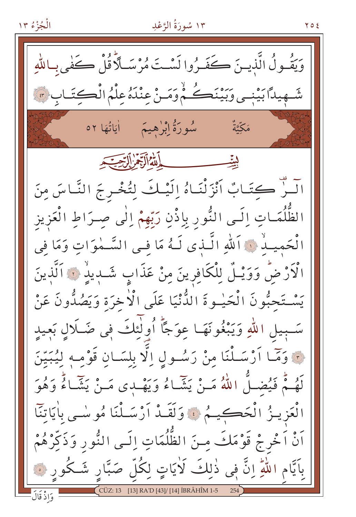١٣ سُورَةُ الرَّعْدِ الْجُزْءُ ١٣ ۲٥٤ وَيَقُّـونُ الَّذِيــرَ ڪَفَــرُوا نَسْـتَ مُرْسَـلاً قُلْ ڪَفٰي بِـاللّٰهِ شَـهِيداً بَيْنِـي وَبَيْنَڪُمْ وَمَـنْ عِنْدَهُ عِلْمُ الْڪِتَـابِ ؟ مَكَّتَةٌ اللاالَةِ تَرَابُ السِّبَ ليتحب الَــرّْ كِتَـَابٌ اَنْزَلْنَـاهُ اِلَيْـكَ لِتُخْـرِجَ النَّـاسَ مِنَ الظُّلُمَـاتِ اِلَـى النُّور بِاِذْنِ رَبِّهِمْ اِلٰى صِـرَاطِ الْعَزيز الْحَميـدُ ۞ اَللهِ الَّـذي لَـهُ مَا فِـى السَّـمٰوَاتِ وَمَا فِى الْأَرْضُّ وَوَيْـلٌ لِلْكَافِرِينَ مِنْ عَذَابٍ شَــٰدِيدٌ ۚ ٱلَّذِينَ يَسْتَحَبُّونَ الْحَيْـوةَ الدُّنْيَا عَلَى الْأَخِرَةِ وَيَصُدُّونَ عَنْ سَـبِيلِ اللَّهِ وَيَبْغُونَهَـا عِوَجًا أُولَٰئِكَ فِي ضَـلَالِ بَعيدِ نَ وَمَّا أَرْسَـلْنَا مِنْ رَسُـولِ اِلَّا بِلِسَـانِ قَوْمِـهِ لِيُبَيِّنَ لَهُمْ فَيُضَـلُّ اللَّهُ مَـنْ يَشَّاءُ وَيَهْدِى مَـنْ يَشَّاءُ وَهُوَ الْعَزِينُ الْحَكِيمُ ﴾ وَلَقَـٰذُ أَرْسَـلْنَا مُوسْـى بِاٰيَاتِنَا اَنْ اَخْرِجْ قَوْمَكَ مِنَ الظُّلُمَاتِ إِلَـى النُّورِ وَذَكِّرْهُمْ بِٱيَّامِ اللَّهِ إِنَّ فِي ذٰلِكَ لَاٰيَاتٍ لِكُلِّ صَبَّارٍ شَكُورٍ ۞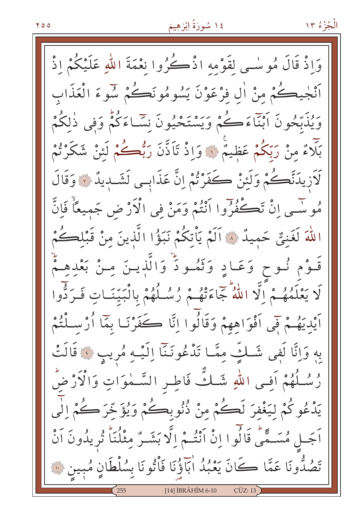# ١٤ سُورَةُ اِبْرْهِيمَ

وَإِذْ قَالَ مُوسْمِي لقَوْمه اذْكُرُوا نِعْمَةَ اللهِ عَلَيْكُمْ اذْ ٱنْجِيڪُمْ مِنْ اٰلِ فِرْعَوْنَ يَسُومُونَڪُمْ سُوءَ الْعَذَاب وَيُذَبَّحُونَ أَبْنَاءَكُمْ وَيَسْتَحْيُونَ نَسَّـاءَكُمْ وَفي ذٰلكُمْ بَلَاءٌ مِنْ رَبِّكُمْ عَظِيمٌ ۞ وَإِذْ تَأَذَّنَ رَبُّصُكُمْ لَئِنْ شَكَرْتُمْ لَاَزِيدَنَّكُمْ وَلَئِنْ كَفَرْتُمْ إِنَّ عَذَابِي لَشَّدِيدٌ ۞ وَقَالَ مُوسَّـى إِنْ تَكْفُرُوا ٱنْتُمْ وَمَنْ فِي الْأَرْضِ جَمِيعًاْ فَإِنَّ اللَّهَ لَغَنِيٌّ حَمِيدٌ ۞ اَلَمْ يَأْتِكُمْ نَبَوُّا الَّذِينَ مِنْ قَبْلِكُمْ قَـوْم نُـوح وَعَـادٍ وَثَمُـودٌ وَالَّذِيـنَ مِـنْ بَعْدِهِـمٌّ لَا يَعْلَمُهُـمْ إِلَّا اللَّهُ جَاءَتْهُـمْ رُسُلُهُمْ بِالْبَيّتَـاتِ فَـرَدُّوا اَيْدِيَهُمْ فِي اَفْوَاهِهِمْ وَقَالُوا اِنَّا كَفَرْنَـا بِمَا أُرْسَـلْنُمْ بهِ وَإِنَّا لَفِي شَلَّتِ مِمَّا تَذْعُونَنَّا إِلَيْهِ مُرِيبٍ ﴾ قَالَتْ رْسُلُهُمْ اَفِى اللّهِ شَلُّ فَاطِرِ السَّمٰوَاتِ وَالْأَرْضِّ يَدْعُوكُمْ لِيَغْفِرَ لَكُمْ مِنْ ذُنُوبِكُمْ وَيُؤَخِّرَكُمْ الٰي اَجَــل مُسَــمَّى قَالُوا اِنْ اَنْتُــمْ اِلَّا بَشَــرٌ مِثْلُنَا تُرِيدُونَ اَنْ تَصُدُّونَا عَمَّا كَانَ يَعْبُدُ اٰبَآؤُنَا فَأْتُونَا بِسُلْطَانٍ مُبِينٍ ۞ [14] İBRÂHÎM 6-10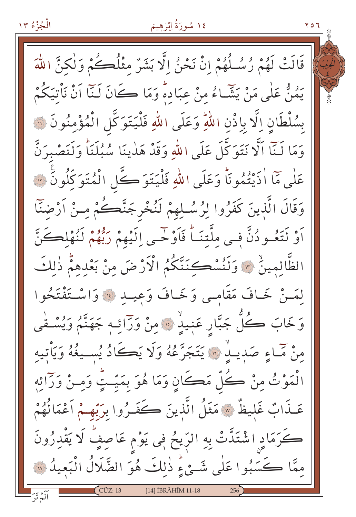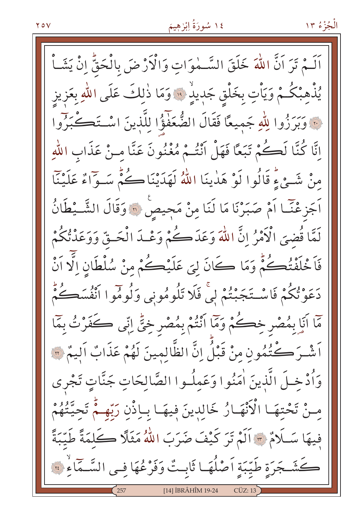# ١٤ سُورَةُ اِبْرٰهِيمَ

اَلَـمْ تَرَ اَنَّ اللّٰهَ خَلَقَ السَّـمٰوَاتِ وَالْأَرْضَ بِالْحَقُّ اِنْ يَشَـاْ يُذْهِبْكُـمْ وَيَأْتِ بِخَلْقِ جَدِيدٍ ۚ وَمَا ذٰلِكَ عَلَى اللهِ بِعَزِيز نَّ وَبَرَزُوا لِلَّهِ جَمِيعًا فَقَالَ الضُّعَفَوُّا لِلَّذِينَ اسْتَكَـكْبَرُوا إِنَّا كُنَّا لَكُمْ تَبَعًا فَهَلْ أَنْتُمْ مُغْنُونَ عَنَّا مِنْ عَذَابِ اللَّهِ مِنْ شَيْءٍ قَالُوا لَوْ هَدٰينَا اللَّهُ لَهَدَيْنَا كُمُّ سَـوّاءٌ عَلَيْنَا اَجَزِعْنَـّا اَمْ صَبَرْنَا مَا لَنَا مِنْ مَجِيصٍ ۞ وَقَالَ الشَّــْطَانُ لَمَّا قُضِيَ الْأَمْرُ إِنَّ اللَّهَ وَعَدَكُمْ وَعْـدَ الْحَـقِّ وَوَعَدْتُكُمْ فَاَخْلَفْتُكُمْ وَمَا كَانَ لِيَ عَلَيْكُمْ مِنْ سُلْطَانِ اِلَّا اَنْ دَعَوْتُكُمْ فَاسْتَجَبْتُمْ لِي فَلَا تَلُومُونِي وَلُومُوا اَنْفُسَكُمْ مَّا أَيَا بِمُصْرِ خِصْهُمْ وَمَّا أَنْتُمْ بِمُصْرِ خِيٍّ إِنِّي كَفَرْتُ بِمَا اَشْـرَ كُنُّمُونِ مِنْ قَبْلُ إِنَّ الظَّالِمِينَ لَهُمْ عَذَابٌ الِيمْ ۞ وَأُدْخِلَ الَّذِينَ اٰمَنُوا وَعَمِلُوا الصَّالِحَاتِ جَنَّاتٍ تَجْرِي مِسْ تَحْتِهَا الْأَنْهَارُ خَالِدِينَ فِيهَا بِإِذْنِ رَبِّهِمْ تَحِيَّتُهُمْ فِيهَا سَلَامٌ \* اَلَمْ تَرَ كَيْفَ ضَرَبَ اللَّهُ مَثَلًا كَلَمَةً طَيِّبَةً كَشَجَرَةِ طَيِّبَةِ أَصْلُهَا ثَابِتٌ وَفَرْعُهَا فِي السَّمَاءِ ۚ ۚ [14] İBRÂHÎM 19-24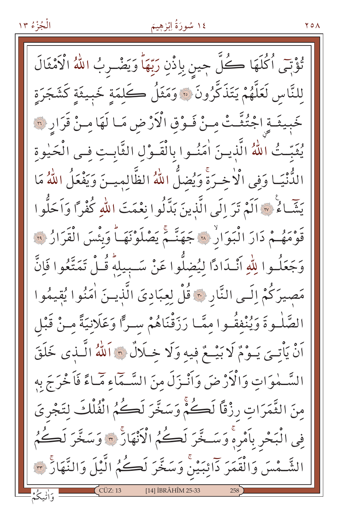### ١٤ سُورَةُ اِبْرْهِيمَ

۷٥۸

تُؤْتِى ٱكْلَهَا كُلَّ جينِ بِإِذْنِ رَبِّهَا وَيَضْـوِبُ اللَّهُ الْأَمْثَالَ للنَّاس لَعَلَّهُمْ يَتَذَكَّرُونَ ۞ وَمَثَلُ كَلمَةٍ خَبيثَةٍ كَشَجَرَةٍ خَبِيثَـةِ اجْتُثَّـتْ مِنْ فَـوْقِ الْأَرْضِ مَـا لَهَا مِـنْ قَرَارِ ۞ يُثَبِّثُ اللَّهُ الَّذِينَ اٰمَنُوا بِالْقَـوْلِ الثَّابِتِ فِـى الْحَيْوةِ الدُّنْيَـا وَفي الْأخـرَةَ وَيُضلُّ اللّهُ الظَّالميـنَ وَيَفْعَلُ اللّهُ مَا يَتِّمَاءُ ۞ اَلَمْ تَرَ إِلَى الَّذِينَ بَدَّلُوا نِعْمَتَ اللَّهِ كُفْرًا وَاَحَلُّوا قَوْمَهُـمْ دَارَ الْبَوَارُ ۞ جَهَنَّـمَ يَصْلَوْنَهَـاً وَبِئْسَ الْقَرَارُ ۞ وَجَعَلُـوا لِلَّهِ أَنْـدَادًا لِيُضلُّوا عَنْ سَـبِيلِهِ قُـلْ تَمَتَّعُوا فَإِنَّ مَصِيرَكُمْ إِلَـى النَّارِ ﴾ قُلْ لِعِبَادِيَ الَّذِيـنَ اٰمَنُوا يُقيمُوا الصَّلْـوةَ وَيُنْفِقُّـوا مِمَّـا رَزَقْنَاهُمْ سـرًّا وَعَلَانِيَةً مِـنْ قَبْل اَنْ يَأْتِيَ يَـوْمٌ لَا بَيْـعٌ فِيهِ وَلَا خِـلَالٌ ۞ اَللَّهُ الَّـٰذِي خَلَقَ السَّــٰهٰوَاتِ وَالْأَرْضَ وَأَنْـٰزَلَ منَ السَّــمَاءِ مَـَـاءً فَاَحْرَجَ بِهِ مِنَ الثَّمَرَاتِ رِزْقًا لَكُمّْ وَسَخَّرَ لَكُمُّ الْفُلْكَ لِتَجْرِيَ فِي الْبَحْرِ بِأَمْرِهِ وَسَخَّرَ لَكُمُ الْأَنْهَارُ ٣ وَسَخَّرَ لَكُمُ الشَّـْمْسَ وَالْقَمَرَ دَائِبَيْنَ وَسَخَّرَ لَڪُمُ الَّيْلَ وَالنَّهَارُ ٣ [14] İBRÂHÎM 25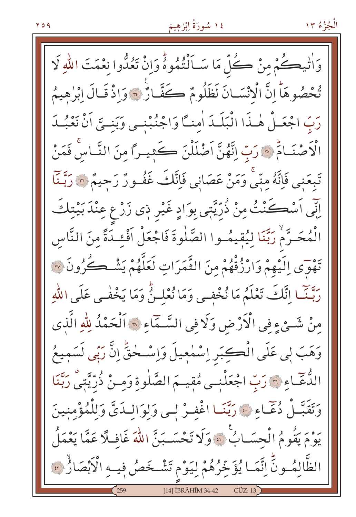# ١٤ سُورَةُ اِبْرْهِيمَ

وَاٰتِيكُمْ مِنْ كُلِّ مَا سَـاَلْتُمُوهُ وَإِنّْ تَعُدُّوا نِعْمَتَ اللهِ لَا تُحْصُوهَا إِنَّ الْإِنْسَانَ لَظَلُومٌ كَفَّانٌ \* وَاذْ قَبَالَ إِبْرِهِيمُ رَبِّ اجْعَـلْ هٰـذَا الْبَلَـدَ اٰمِنـَّا وَاجْنُبْنـي وَبَنِـيَّ اَنْ نَعْبُـدَ الْأَصْنَـامٍّ ۞ رَبِّ اِنَّهُنَّ اَضْلَلْنَ كَثِيـراً مِنَ النَّـاسِ فَمَنْ تَبعَني فَاِنَّهُ منَّى وَمَنْ عَصَانِي فَاِنَّكَ غَفُورٌ رَحِيمٌ ۞ رَبَّـنَا اِنِّي اَسْكَنْتُ مِنْ ذُرِّيَّتِي بِوَادٍ غَيْرِ ذِي زَرْعٍ عِنْدَبَيْتِكَ الْمُحَـرَّمْ رَبَّنَا لِيُقِيمُـوا الصَّلٰوةَ فَاجْعَلْ أَفْئِـدَةً مِنَ النَّاس تَهْوَى إِلَيْهِمْ وَارْزُقْهُمْ مِنَ الثَّمَرَاتِ لَعَلَّهُمْ يَشْكُرُونَ ۞ رَبَّتَ النَّكَ تَعْلَمُ مَا نُخْفِي وَمَا نُعْلِينُ وَمَا يَخْفٰي عَلَى اللَّهِ مِنْ شَيْءٍ فِي الْأَرْضِ وَلَا فِي السَّـمَاءِ ۞ اَلْحَمْدُ لِلَّهِ الَّذِي وَهَبَ لِي عَلَى الْكِبَرِ إِسْمٰعِيلَ وَإِسْـخْقِّ إِنَّ رَبِّي لَسَمِيعُ الدُّعَّـاءِ ۞ رَبِّ اجْعَلْنِـى مُقِيــمَ الصَّلٰوةِ وَمِـنْ ذُرِّيَّتِي رَبَّنَا وَتَقَبَّلْ دُعَّـاءِ ۞ رَبَّنَـا اغْفِـرْ لِـي وَلِوَالِـدَيَّ وَلِلْمُؤْمِنِينَ يَوْمَ يَقُومُ الْحِسَـابُ ۚ وَلَا تَحْسَـبَنَّ اللَّهَ غَافِيلًا عَمَّا يَعْمَلُ الظَّالِمُونِّ إِنَّمَا يُؤَخِّرُهُمْ لِيَوْمِ تَشْخَصُ فِيهِ الْأَبْصَارُ ۞ [14] İBRÂHÎM 34-42